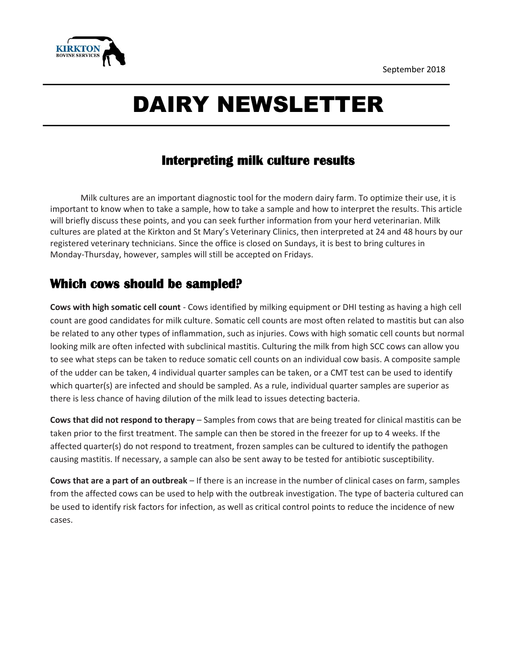September 2018



# DAIRY NEWSLETTER

## **Interpreting milk culture results**

Milk cultures are an important diagnostic tool for the modern dairy farm. To optimize their use, it is important to know when to take a sample, how to take a sample and how to interpret the results. This article will briefly discuss these points, and you can seek further information from your herd veterinarian. Milk cultures are plated at the Kirkton and St Mary's Veterinary Clinics, then interpreted at 24 and 48 hours by our registered veterinary technicians. Since the office is closed on Sundays, it is best to bring cultures in Monday-Thursday, however, samples will still be accepted on Fridays.

#### **Which cows should be sampled?**

**Cows with high somatic cell count** - Cows identified by milking equipment or DHI testing as having a high cell count are good candidates for milk culture. Somatic cell counts are most often related to mastitis but can also be related to any other types of inflammation, such as injuries. Cows with high somatic cell counts but normal looking milk are often infected with subclinical mastitis. Culturing the milk from high SCC cows can allow you to see what steps can be taken to reduce somatic cell counts on an individual cow basis. A composite sample of the udder can be taken, 4 individual quarter samples can be taken, or a CMT test can be used to identify which quarter(s) are infected and should be sampled. As a rule, individual quarter samples are superior as there is less chance of having dilution of the milk lead to issues detecting bacteria.

**Cows that did not respond to therapy** – Samples from cows that are being treated for clinical mastitis can be taken prior to the first treatment. The sample can then be stored in the freezer for up to 4 weeks. If the affected quarter(s) do not respond to treatment, frozen samples can be cultured to identify the pathogen causing mastitis. If necessary, a sample can also be sent away to be tested for antibiotic susceptibility.

**Cows that are a part of an outbreak** – If there is an increase in the number of clinical cases on farm, samples from the affected cows can be used to help with the outbreak investigation. The type of bacteria cultured can be used to identify risk factors for infection, as well as critical control points to reduce the incidence of new cases.